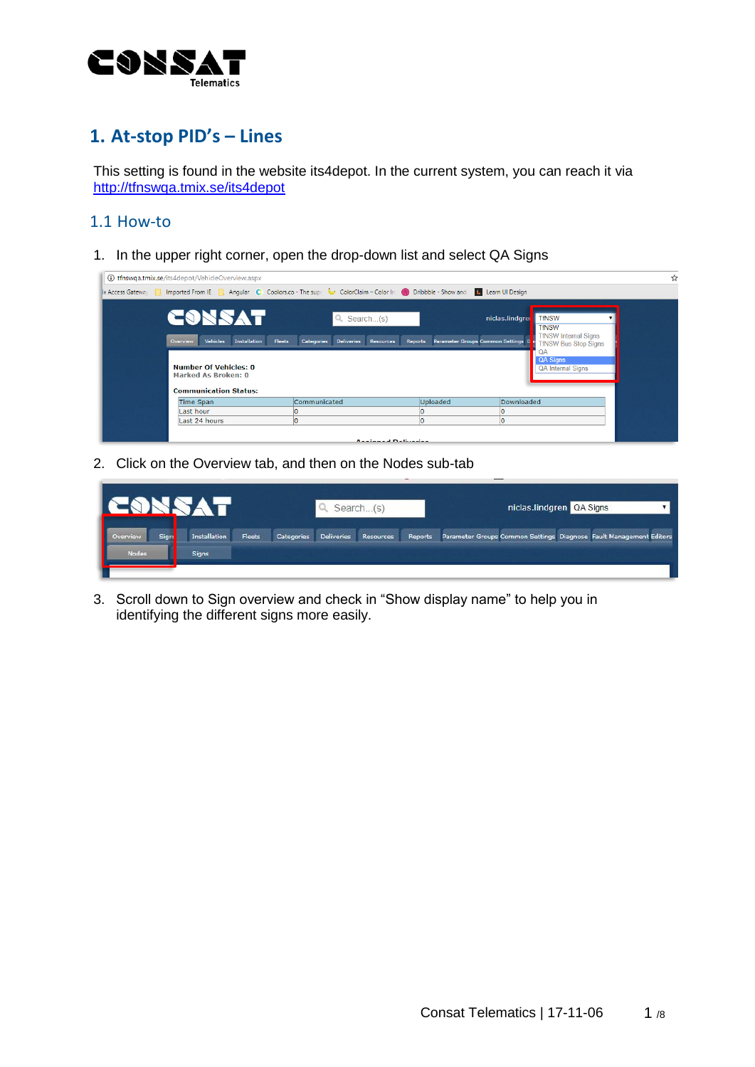

# **1. At-stop PID's – Lines**

This setting is found in the website its4depot. In the current system, you can reach it via <http://tfnswqa.tmix.se/its4depot>

## 1.1 How-to

1. In the upper right corner, open the drop-down list and select QA Signs

| 10 tfnswqa.tmix.se/its4depot/VehicleOverview.aspx                                                                                                                                                                                                      |                                                                  |                                    | ☆                                                                                                                                                     |
|--------------------------------------------------------------------------------------------------------------------------------------------------------------------------------------------------------------------------------------------------------|------------------------------------------------------------------|------------------------------------|-------------------------------------------------------------------------------------------------------------------------------------------------------|
| x Access Gateway <b>Number of Access Cateway 19th</b> Imported From IE <b>Number Access Cateway 19th</b> Imported From IE <b>Number Access Cateway 19th</b> Imported From IE <b>Number Access</b> Coolors.co - The supe <b>Coolors</b> CoolorSco - The |                                                                  |                                    | L Learn Ul Design                                                                                                                                     |
| CONSAT<br><b>Installation</b><br>Vehicles<br>Fleets<br><b>Overview</b><br>Number Of Vehicles: 0<br><b>Marked As Broken: 0</b><br><b>Communication Status:</b>                                                                                          | $Q$ , Search(s)<br>Categories Deliveries<br>Resources<br>Reports | Parameter Groups Common Settings D | <b>TfNSW</b><br>niclas.lindgrei<br><b>TfNSW</b><br><b>TfNSW Internal Signs</b><br><b>TfNSW Bus Stop Signs</b><br>QA Signs<br><b>QA Internal Signs</b> |
| Time Span                                                                                                                                                                                                                                              | Communicated                                                     | Uploaded                           | Downloaded                                                                                                                                            |
| Last hour                                                                                                                                                                                                                                              |                                                                  |                                    |                                                                                                                                                       |
| Last 24 hours                                                                                                                                                                                                                                          |                                                                  |                                    |                                                                                                                                                       |
|                                                                                                                                                                                                                                                        | <b>Analmand Deliveries</b>                                       |                                    |                                                                                                                                                       |

2. Click on the Overview tab, and then on the Nodes sub-tab

| IC                                     |                              |        |            |                   | Search(s) |         | niclas.lindgren QA Signs                                           |  |  |
|----------------------------------------|------------------------------|--------|------------|-------------------|-----------|---------|--------------------------------------------------------------------|--|--|
| I<br>Sign:<br>Overview<br><b>Nodes</b> | Installation<br><b>Signs</b> | Fleets | Categories | <b>Deliveries</b> | Resources | Reports | Parameter Groups Common Settings Diagnose Fault Management Editors |  |  |
|                                        |                              |        |            |                   |           |         |                                                                    |  |  |

3. Scroll down to Sign overview and check in "Show display name" to help you in identifying the different signs more easily.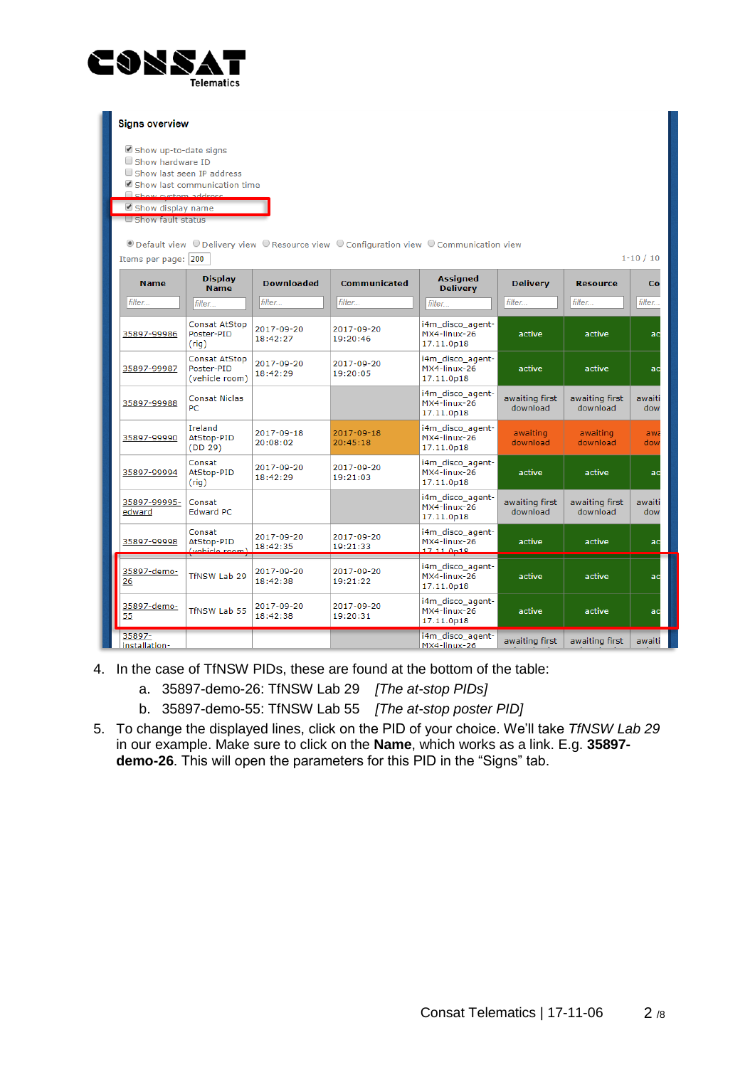

| <b>Signs overview</b>                                                                                                                                                                                                                                                                                                      |                                                      |                        |                        |                                                |                            |                            |               |  |
|----------------------------------------------------------------------------------------------------------------------------------------------------------------------------------------------------------------------------------------------------------------------------------------------------------------------------|------------------------------------------------------|------------------------|------------------------|------------------------------------------------|----------------------------|----------------------------|---------------|--|
| Show up-to-date signs<br>Show hardware ID<br>Show last seen IP address<br>Show last communication time<br><b>Echow</b> evetam address<br>Show display name<br>$\Box$ Show fault status<br>© Default view © Delivery view © Resource view © Configuration view © Communication view<br>$1 - 10 / 10$<br>Items per page: 200 |                                                      |                        |                        |                                                |                            |                            |               |  |
| <b>Name</b>                                                                                                                                                                                                                                                                                                                | <b>Display</b><br><b>Name</b>                        | <b>Downloaded</b>      | <b>Communicated</b>    | <b>Assigned</b><br><b>Delivery</b>             | <b>Delivery</b>            | <b>Resource</b>            | Co            |  |
| filter                                                                                                                                                                                                                                                                                                                     | filter                                               | filter                 | filter                 | filter                                         | filter                     | filter                     | filter        |  |
| 35897-99986                                                                                                                                                                                                                                                                                                                | <b>Consat AtStop</b><br>Poster-PID<br>$($ rig $)$    | 2017-09-20<br>18:42:27 | 2017-09-20<br>19:20:46 | i4m_disco_agent-<br>MX4-linux-26<br>17.11.0p18 | active                     | active                     | ac            |  |
| 35897-99987                                                                                                                                                                                                                                                                                                                | <b>Consat AtStop</b><br>Poster-PID<br>(vehicle room) | 2017-09-20<br>18:42:29 | 2017-09-20<br>19:20:05 | i4m disco agent-<br>MX4-linux-26<br>17.11.0p18 | active                     | active                     | ac            |  |
| 35897-99988                                                                                                                                                                                                                                                                                                                | <b>Consat Niclas</b><br>PC.                          |                        |                        | i4m_disco_agent-<br>MX4-linux-26<br>17.11.0p18 | awaiting first<br>download | awaiting first<br>download | awaiti<br>dow |  |
| 35897-99990                                                                                                                                                                                                                                                                                                                | Ireland<br>AtStop-PID<br>(DD 29)                     | 2017-09-18<br>20:08:02 | 2017-09-18<br>20:45:18 | i4m disco agent-<br>MX4-linux-26<br>17.11.0p18 | awaiting<br>download       | awaiting<br>download       | awa<br>dow    |  |
| 35897-99994                                                                                                                                                                                                                                                                                                                | Consat<br>AtStop-PID<br>(rig)                        | 2017-09-20<br>18:42:29 | 2017-09-20<br>19:21:03 | i4m_disco_agent-<br>MX4-linux-26<br>17.11.0p18 | active                     | active                     | ad            |  |
| 35897-99995-<br>edward                                                                                                                                                                                                                                                                                                     | Consat<br><b>Edward PC</b>                           |                        |                        | i4m_disco_agent-<br>MX4-linux-26<br>17.11.0p18 | awaiting first<br>download | awaiting first<br>download | awaiti<br>dow |  |
| 35897-99998                                                                                                                                                                                                                                                                                                                | Consat<br>AtStop-PID<br>(vabick from)                | 2017-09-20<br>18:42:35 | 2017-09-20<br>19:21:33 | i4m_disco_agent-<br>MX4-linux-26<br>17.11.0n18 | active                     | active                     | ac            |  |
| 35897-demo-<br>26                                                                                                                                                                                                                                                                                                          | TfNSW Lab 29                                         | 2017-09-20<br>18:42:38 | 2017-09-20<br>19:21:22 | i4m_disco_agent-<br>MX4-linux-26<br>17.11.0p18 | active                     | active                     | ac            |  |
| 35897-demo-<br>55                                                                                                                                                                                                                                                                                                          | TfNSW Lab 55                                         | 2017-09-20<br>18:42:38 | 2017-09-20<br>19:20:31 | i4m disco agent-<br>MX4-linux-26<br>17.11.0p18 | active                     | active                     | ac            |  |
| 35897-<br>installation-                                                                                                                                                                                                                                                                                                    |                                                      |                        |                        | i4m_disco_agent-<br>MX4-linux-26               | awaiting first             | awaiting first             | awaiti        |  |

- 4. In the case of TfNSW PIDs, these are found at the bottom of the table:
	- a. 35897-demo-26: TfNSW Lab 29 *[The at-stop PIDs]*
	- b. 35897-demo-55: TfNSW Lab 55 *[The at-stop poster PID]*
- 5. To change the displayed lines, click on the PID of your choice. We'll take *TfNSW Lab 29*  in our example. Make sure to click on the **Name**, which works as a link. E.g. **35897 demo-26**. This will open the parameters for this PID in the "Signs" tab.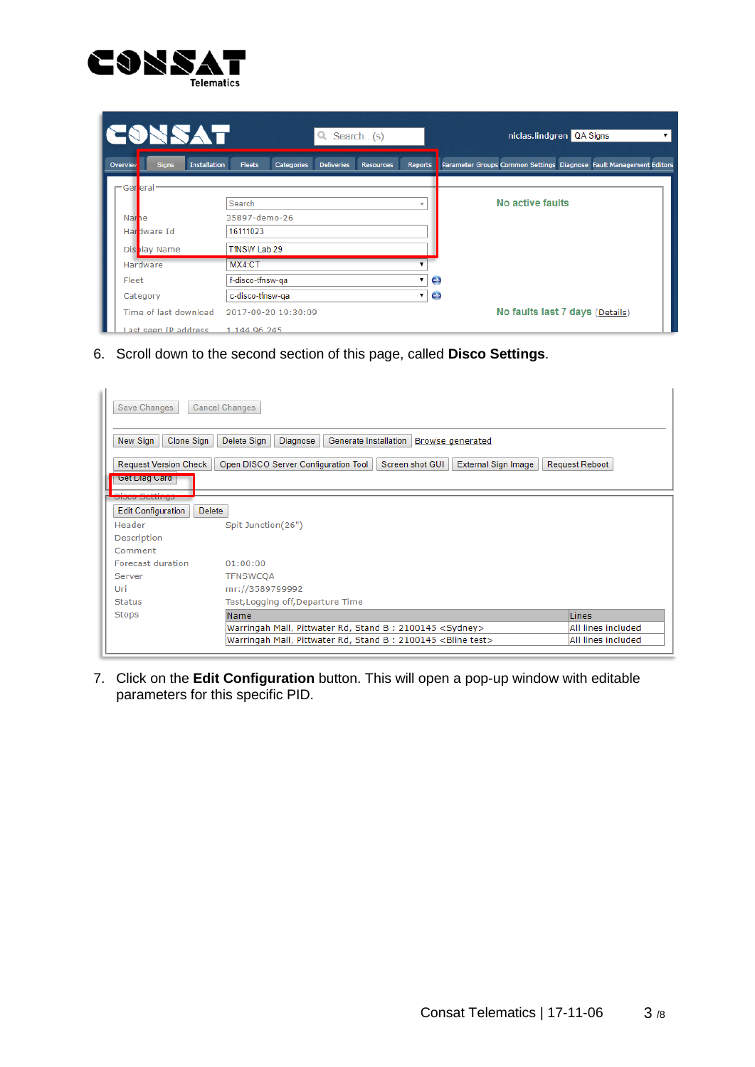

| <b>CONSAT</b>                                          | Q Search(s)                                                                 |                          | niclas.lindgren QA Signs                                           |
|--------------------------------------------------------|-----------------------------------------------------------------------------|--------------------------|--------------------------------------------------------------------|
| <b>Installation</b><br><b>Signs</b><br><b>Overview</b> | <b>Fleets</b><br><b>Categories</b><br><b>Deliveries</b><br><b>Resources</b> | Reports                  | Parameter Groups Common Settings Diagnose Fault Management Editors |
| -Ger <mark>l</mark> eral                               |                                                                             |                          |                                                                    |
|                                                        | Search                                                                      | $\overline{\phantom{a}}$ | No active faults                                                   |
| Narne                                                  | 35897-demo-26                                                               |                          |                                                                    |
| Hardware Id                                            | 16111023                                                                    |                          |                                                                    |
| Display Name                                           | TfNSW Lab 29                                                                |                          |                                                                    |
| Hardware                                               | MX4:CT                                                                      |                          |                                                                    |
| Fleet                                                  | f-disco-tfnsw-ga                                                            |                          | $\mathbf{\mathsf{c}}$                                              |
| Category                                               | c-disco-tfnsw-qa                                                            | ۷.                       | Θ                                                                  |
| Time of last download                                  | 2017-09-20 19:30:09                                                         |                          | No faults last 7 days (Details)                                    |
| ast seen IP address                                    | 1.144.96.245                                                                |                          |                                                                    |

6. Scroll down to the second section of this page, called **Disco Settings**.

| Save Changes                               | <b>Cancel Changes</b>                                                          |                    |
|--------------------------------------------|--------------------------------------------------------------------------------|--------------------|
| New Sign<br>Clone Sign                     | Delete Sign<br>Generate Installation<br>Diagnose<br><b>Browse</b> generated    |                    |
| <b>Request Version Check</b>               | Screen shot GUI<br>Open DISCO Server Configuration Tool<br>External Sign Image | Request Reboot     |
| Get Diag Card                              |                                                                                |                    |
|                                            |                                                                                |                    |
| <b>Edit Configuration</b><br><b>Delete</b> |                                                                                |                    |
| Header                                     | Spit Junction(26")                                                             |                    |
| Description                                |                                                                                |                    |
| Comment                                    |                                                                                |                    |
| Forecast duration                          | 01:00:00                                                                       |                    |
| Server                                     | <b>TFNSWCOA</b>                                                                |                    |
| Uri                                        | mr://3589799992                                                                |                    |
| <b>Status</b>                              | Test, Logging off, Departure Time                                              |                    |
| <b>Stops</b>                               | Name                                                                           | Lines              |
|                                            | Warringah Mall, Pittwater Rd, Stand B: 2100145 <sydney></sydney>               | All lines included |
|                                            | Warringah Mall, Pittwater Rd, Stand B: 2100145 <bline test=""></bline>         | All lines included |

7. Click on the **Edit Configuration** button. This will open a pop-up window with editable parameters for this specific PID.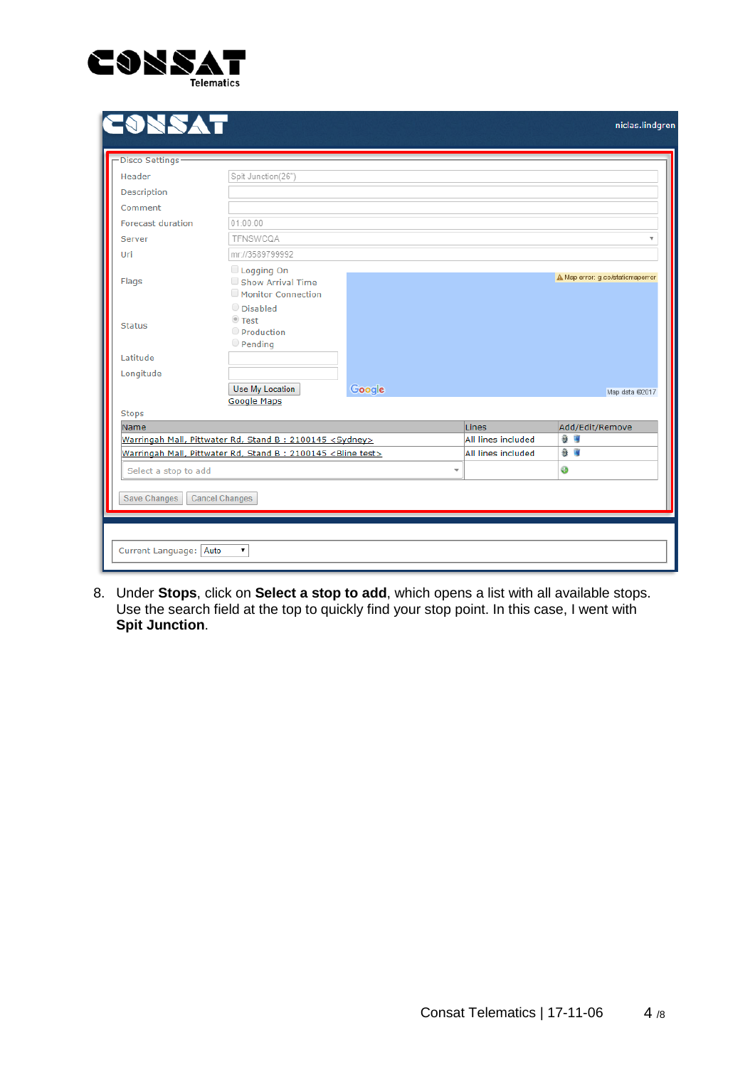

| Header                   | Spit Junction(26")                                                     |        |                             |                                  |
|--------------------------|------------------------------------------------------------------------|--------|-----------------------------|----------------------------------|
| <b>Description</b>       |                                                                        |        |                             |                                  |
| Comment                  |                                                                        |        |                             |                                  |
| <b>Forecast duration</b> | 01:00:00                                                               |        |                             |                                  |
| Server                   | TFNSWCQA                                                               |        |                             |                                  |
| Uri                      | mr://3589799992                                                        |        |                             |                                  |
| Flags                    | Logging On<br>Show Arrival Time<br>Monitor Connection                  |        |                             | A Map error: g.co/staticmaperror |
|                          | O Disabled<br><sup>◎</sup> Test                                        |        |                             |                                  |
| <b>Status</b>            | Production                                                             |        |                             |                                  |
| Latitude                 | $\circ$ Pending                                                        |        |                             |                                  |
| Longitude                |                                                                        |        |                             |                                  |
|                          | Use My Location                                                        | Google |                             | Map data @2017                   |
|                          | <b>Google Maps</b>                                                     |        |                             |                                  |
| <b>Stops</b><br>Name     |                                                                        |        |                             |                                  |
|                          | Warringah Mall, Pittwater Rd, Stand B: 2100145 <sydney></sydney>       |        | Lines<br>All lines included | Add/Edit/Remove<br>發展            |
|                          | Warringah Mall, Pittwater Rd, Stand B: 2100145 <bline test=""></bline> |        | All lines included          | 發展                               |
| Select a stop to add     |                                                                        |        | ÷                           | ⊕                                |
|                          |                                                                        |        |                             |                                  |
| Save Changes             | <b>Cancel Changes</b>                                                  |        |                             |                                  |

8. Under **Stops**, click on **Select a stop to add**, which opens a list with all available stops. Use the search field at the top to quickly find your stop point. In this case, I went with **Spit Junction**.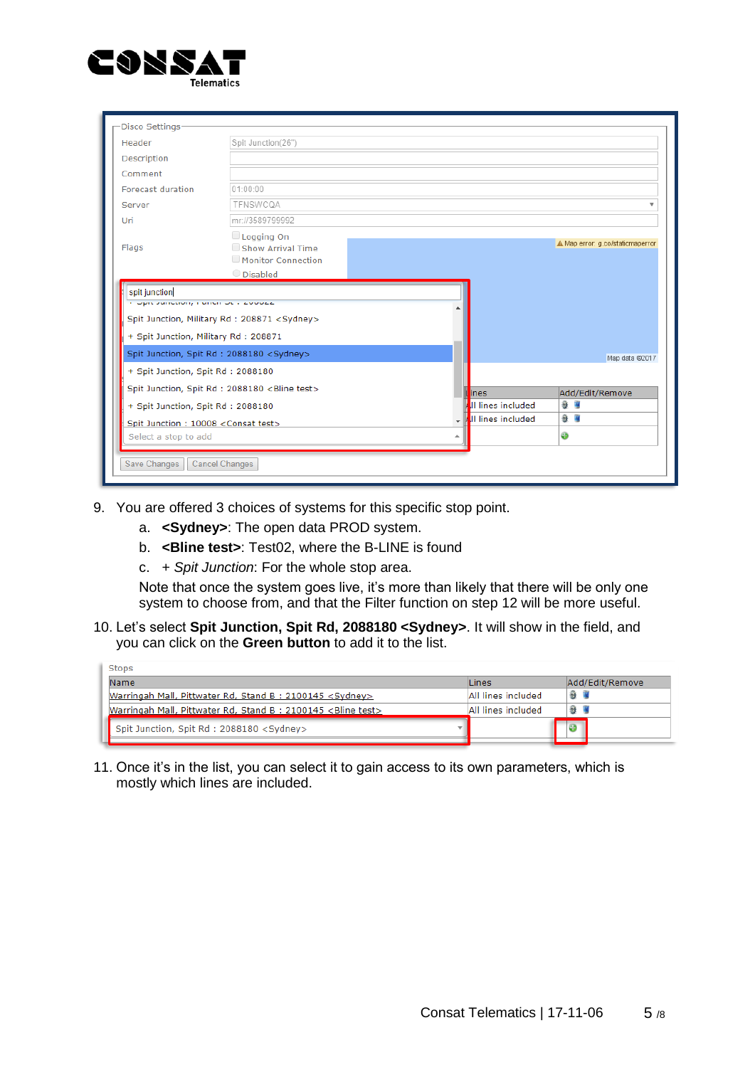

| -Disco Settings                                                                            |                                                                     |                   |                                  |
|--------------------------------------------------------------------------------------------|---------------------------------------------------------------------|-------------------|----------------------------------|
| Header                                                                                     | Spit Junction(26")                                                  |                   |                                  |
| Description                                                                                |                                                                     |                   |                                  |
| Comment                                                                                    |                                                                     |                   |                                  |
| <b>Forecast duration</b>                                                                   | 01:00:00                                                            |                   |                                  |
| Server                                                                                     | TFNSWCQA                                                            |                   |                                  |
| Uri                                                                                        | mr://3589799992                                                     |                   |                                  |
| Flags                                                                                      | Logging On<br>Show Arrival Time<br>Monitor Connection<br>O Disabled |                   | A Map error: g.co/staticmaperror |
| spit junction<br>opic sunction, manual oct success<br>+ Spit Junction, Military Rd: 208871 | Spit Junction, Military Rd : 208871 <sydney></sydney>               |                   |                                  |
|                                                                                            | Spit Junction, Spit Rd : 2088180 <sydney></sydney>                  |                   | Map data @2017                   |
| + Spit Junction, Spit Rd: 2088180                                                          |                                                                     |                   |                                  |
|                                                                                            | Spit Junction, Spit Rd : 2088180 <bline test=""></bline>            | lines             | Add/Edit/Remove                  |
| + Spit Junction, Spit Rd: 2088180                                                          |                                                                     | Il lines included | 發電                               |
| Spit Junction: 10008 <consat test=""></consat>                                             |                                                                     | Il lines included | 發展                               |
| Select a stop to add                                                                       |                                                                     | ۸                 | ⊕                                |
| Save Changes                                                                               | <b>Cancel Changes</b>                                               |                   |                                  |

- 9. You are offered 3 choices of systems for this specific stop point.
	- a. **<Sydney>**: The open data PROD system.
	- b. **<Bline test>**: Test02, where the B-LINE is found
	- c. + *Spit Junction*: For the whole stop area.

Note that once the system goes live, it's more than likely that there will be only one system to choose from, and that the Filter function on step 12 will be more useful.

10. Let's select **Spit Junction, Spit Rd, 2088180 <Sydney>**. It will show in the field, and you can click on the **Green button** to add it to the list.

| Name<br>Lines                                                                                 | Add/Edit/Remove |
|-----------------------------------------------------------------------------------------------|-----------------|
| Warringah Mall, Pittwater Rd, Stand B: 2100145 <sydney><br/>All lines included</sydney>       | a l             |
| Warringah Mall, Pittwater Rd, Stand B: 2100145 <bline test=""><br/>All lines included</bline> | 發Ⅰ              |
| Spit Junction, Spit Rd: 2088180 <sydney></sydney>                                             |                 |

11. Once it's in the list, you can select it to gain access to its own parameters, which is mostly which lines are included.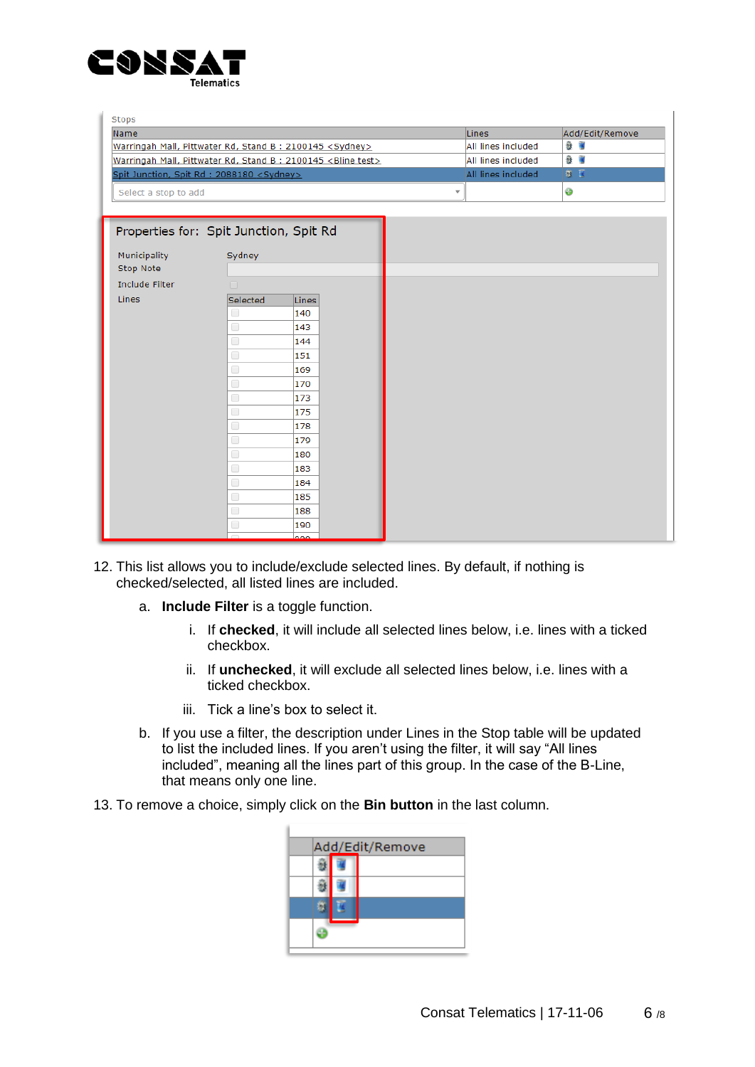

| <b>Stops</b>          |                                                                        |                         |                 |
|-----------------------|------------------------------------------------------------------------|-------------------------|-----------------|
| Name                  |                                                                        | Lines                   | Add/Edit/Remove |
|                       | Warringah Mall, Pittwater Rd, Stand B: 2100145 <sydney></sydney>       | All lines included      | 發展              |
|                       | Warringah Mall, Pittwater Rd, Stand B: 2100145 <bline test=""></bline> | All lines included      | 發展              |
|                       | Spit Junction, Spit Rd : 2088180 <sydney></sydney>                     | All lines included      | 尊臣              |
| Select a stop to add  |                                                                        | $\overline{\mathbf{v}}$ | ⊛               |
|                       |                                                                        |                         |                 |
|                       |                                                                        |                         |                 |
|                       | Properties for: Spit Junction, Spit Rd                                 |                         |                 |
| Municipality          | Sydney                                                                 |                         |                 |
| Stop Note             |                                                                        |                         |                 |
| <b>Include Filter</b> | n                                                                      |                         |                 |
| Lines                 | Selected<br><b>Lines</b>                                               |                         |                 |
|                       | 0<br>140                                                               |                         |                 |
|                       | 0<br>143                                                               |                         |                 |
|                       | $\Box$<br>144                                                          |                         |                 |
|                       | $\Box$<br>151                                                          |                         |                 |
|                       | $\Box$<br>169                                                          |                         |                 |
|                       | 0<br>170                                                               |                         |                 |
|                       | 0<br>173                                                               |                         |                 |
|                       | $\Box$<br>175                                                          |                         |                 |
|                       | $\Box$<br>178                                                          |                         |                 |
|                       | 0<br>179                                                               |                         |                 |
|                       | 0<br>180                                                               |                         |                 |
|                       | 0<br>183                                                               |                         |                 |
|                       | $\Box$<br>184                                                          |                         |                 |
|                       | 0<br>185                                                               |                         |                 |
|                       | 0<br>188                                                               |                         |                 |
|                       | O<br>190                                                               |                         |                 |
|                       | 220                                                                    |                         |                 |

- 12. This list allows you to include/exclude selected lines. By default, if nothing is checked/selected, all listed lines are included.
	- a. **Include Filter** is a toggle function.
		- i. If **checked**, it will include all selected lines below, i.e. lines with a ticked checkbox.
		- ii. If **unchecked**, it will exclude all selected lines below, i.e. lines with a ticked checkbox.
		- iii. Tick a line's box to select it.

í.

- b. If you use a filter, the description under Lines in the Stop table will be updated to list the included lines. If you aren't using the filter, it will say "All lines included", meaning all the lines part of this group. In the case of the B-Line, that means only one line.
- 13. To remove a choice, simply click on the **Bin button** in the last column.

|  | Add/Edit/Remove |
|--|-----------------|
|  |                 |
|  |                 |
|  |                 |
|  |                 |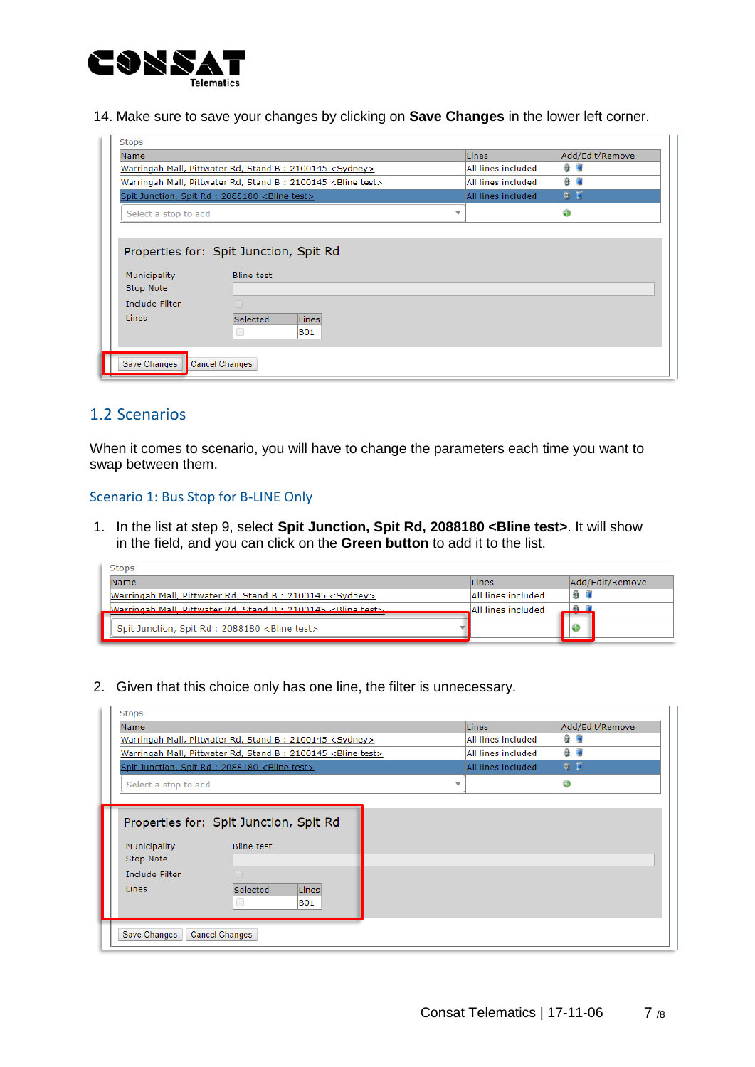

14. Make sure to save your changes by clicking on **Save Changes** in the lower left corner.

| Name                  |                                                                        | Lines                   | Add/Edit/Remove |
|-----------------------|------------------------------------------------------------------------|-------------------------|-----------------|
|                       | Warringah Mall, Pittwater Rd, Stand B: 2100145 <sydney></sydney>       | All lines included      | 發 隔             |
|                       | Warringah Mall, Pittwater Rd, Stand B: 2100145 <bline test=""></bline> | All lines included      | 發展              |
|                       | Spit Junction, Spit Rd : 2088180 <bline test=""></bline>               | All lines included      | 新西              |
| Select a stop to add  |                                                                        | $\overline{\mathbf{v}}$ | ⊕               |
| Municipality          | Properties for: Spit Junction, Spit Rd<br><b>Bline test</b>            |                         |                 |
| Stop Note             |                                                                        |                         |                 |
| <b>Include Filter</b> | n                                                                      |                         |                 |

### 1.2 Scenarios

When it comes to scenario, you will have to change the parameters each time you want to swap between them.

Scenario 1: Bus Stop for B-LINE Only

1. In the list at step 9, select **Spit Junction, Spit Rd, 2088180 <Bline test>**. It will show in the field, and you can click on the **Green button** to add it to the list.

| Stops                                                                   |                     |                 |
|-------------------------------------------------------------------------|---------------------|-----------------|
| Name                                                                    | Lines               | Add/Edit/Remove |
| Warringah Mall, Pittwater Rd, Stand B: 2100145 <sydney></sydney>        | All lines included  |                 |
| Marringah Mall, Dittwater Rd, Stand R + 2100145 <rline tect=""></rline> | All lines included. |                 |
| Spit Junction, Spit Rd : 2088180 <bline test=""></bline>                |                     |                 |

2. Given that this choice only has one line, the filter is unnecessary.

| <b>Name</b>                                                      |                                                                        | Lines              | Add/Edit/Remove |
|------------------------------------------------------------------|------------------------------------------------------------------------|--------------------|-----------------|
| Warringah Mall, Pittwater Rd, Stand B: 2100145 <sydney></sydney> |                                                                        | All lines included | 發展              |
|                                                                  | Warringah Mall, Pittwater Rd, Stand B: 2100145 <bline test=""></bline> | All lines included | 發展              |
|                                                                  | Spit Junction, Spit Rd : 2088180 <bline test=""></bline>               | All lines included | 奇区              |
| Select a stop to add                                             |                                                                        |                    | ⊕               |
| Municipality                                                     | <b>Bline test</b>                                                      |                    |                 |